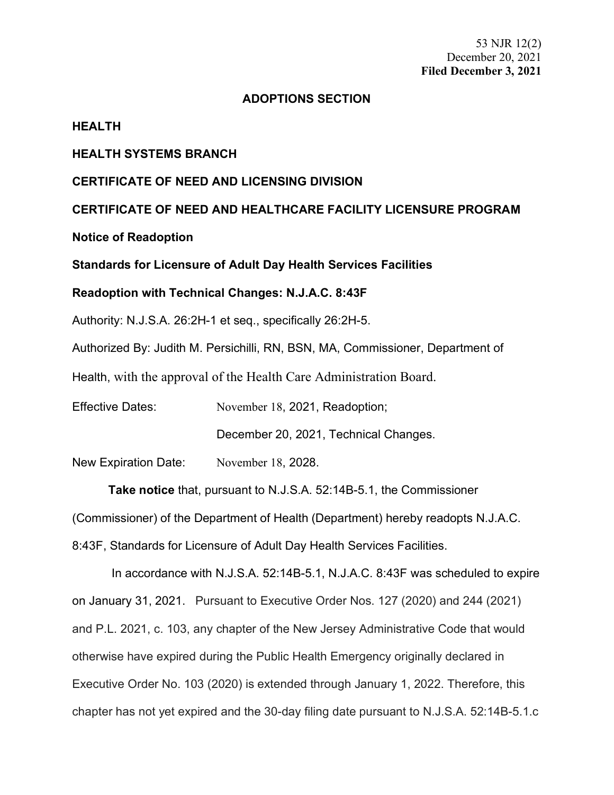53 NJR 12(2) December 20, 2021 **Filed December 3, 2021**

### **ADOPTIONS SECTION**

#### **HEALTH**

### **HEALTH SYSTEMS BRANCH**

## **CERTIFICATE OF NEED AND LICENSING DIVISION**

**CERTIFICATE OF NEED AND HEALTHCARE FACILITY LICENSURE PROGRAM**

# **Notice of Readoption**

# **Standards for Licensure of Adult Day Health Services Facilities**

## **Readoption with Technical Changes: N.J.A.C. 8:43F**

Authority: N.J.S.A. 26:2H-1 et seq., specifically 26:2H-5.

Authorized By: Judith M. Persichilli, RN, BSN, MA, Commissioner, Department of

Health, with the approval of the Health Care Administration Board.

Effective Dates: November 18, 2021, Readoption;

December 20, 2021, Technical Changes.

New Expiration Date: November 18, 2028.

**Take notice** that, pursuant to N.J.S.A. 52:14B-5.1, the Commissioner

(Commissioner) of the Department of Health (Department) hereby readopts N.J.A.C.

8:43F, Standards for Licensure of Adult Day Health Services Facilities.

In accordance with N.J.S.A. 52:14B-5.1, N.J.A.C. 8:43F was scheduled to expire on January 31, 2021. Pursuant to Executive Order Nos. 127 (2020) and 244 (2021) and P.L. 2021, c. 103, any chapter of the New Jersey Administrative Code that would otherwise have expired during the Public Health Emergency originally declared in Executive Order No. 103 (2020) is extended through January 1, 2022. Therefore, this chapter has not yet expired and the 30-day filing date pursuant to N.J.S.A. 52:14B-5.1.c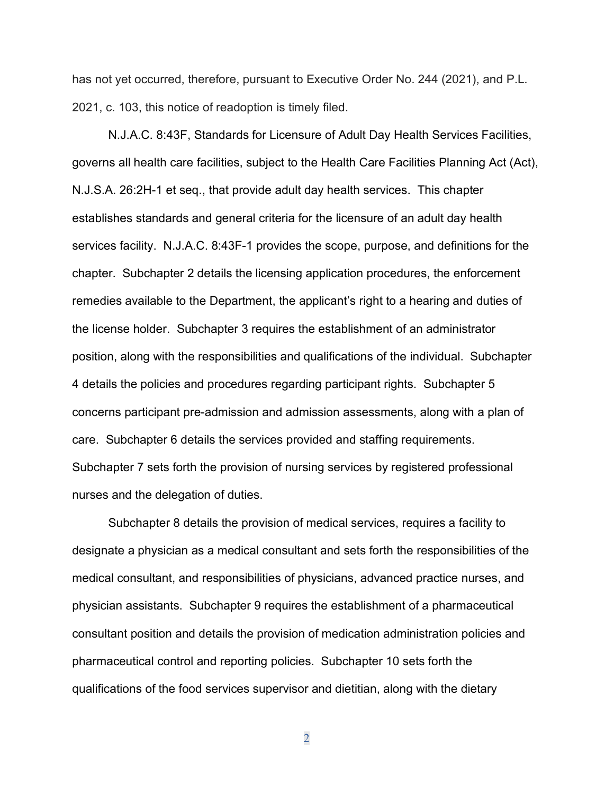has not yet occurred, therefore, pursuant to Executive Order No. 244 (2021), and P.L. 2021, c. 103, this notice of readoption is timely filed.

N.J.A.C. 8:43F, Standards for Licensure of Adult Day Health Services Facilities, governs all health care facilities, subject to the Health Care Facilities Planning Act (Act), N.J.S.A. 26:2H-1 et seq., that provide adult day health services. This chapter establishes standards and general criteria for the licensure of an adult day health services facility. N.J.A.C. 8:43F-1 provides the scope, purpose, and definitions for the chapter. Subchapter 2 details the licensing application procedures, the enforcement remedies available to the Department, the applicant's right to a hearing and duties of the license holder. Subchapter 3 requires the establishment of an administrator position, along with the responsibilities and qualifications of the individual. Subchapter 4 details the policies and procedures regarding participant rights. Subchapter 5 concerns participant pre-admission and admission assessments, along with a plan of care. Subchapter 6 details the services provided and staffing requirements. Subchapter 7 sets forth the provision of nursing services by registered professional nurses and the delegation of duties.

Subchapter 8 details the provision of medical services, requires a facility to designate a physician as a medical consultant and sets forth the responsibilities of the medical consultant, and responsibilities of physicians, advanced practice nurses, and physician assistants. Subchapter 9 requires the establishment of a pharmaceutical consultant position and details the provision of medication administration policies and pharmaceutical control and reporting policies. Subchapter 10 sets forth the qualifications of the food services supervisor and dietitian, along with the dietary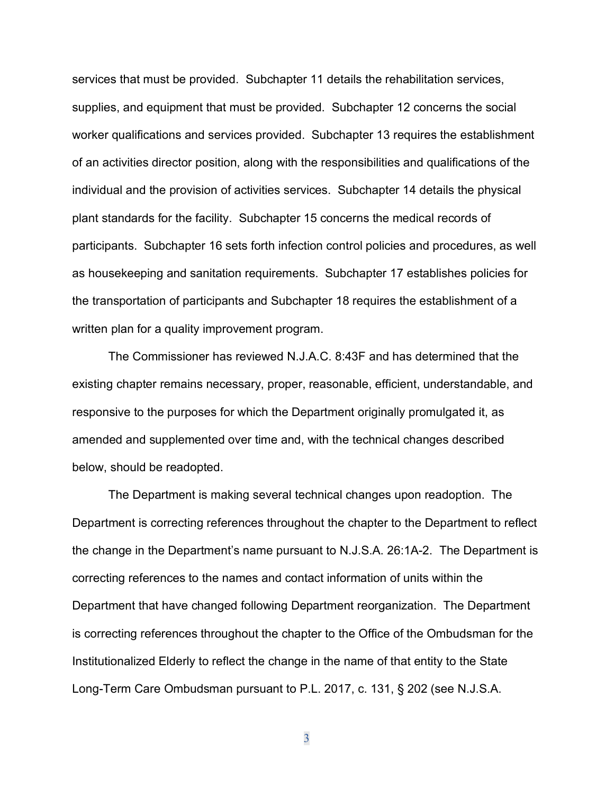services that must be provided. Subchapter 11 details the rehabilitation services, supplies, and equipment that must be provided. Subchapter 12 concerns the social worker qualifications and services provided. Subchapter 13 requires the establishment of an activities director position, along with the responsibilities and qualifications of the individual and the provision of activities services. Subchapter 14 details the physical plant standards for the facility. Subchapter 15 concerns the medical records of participants. Subchapter 16 sets forth infection control policies and procedures, as well as housekeeping and sanitation requirements. Subchapter 17 establishes policies for the transportation of participants and Subchapter 18 requires the establishment of a written plan for a quality improvement program.

The Commissioner has reviewed N.J.A.C. 8:43F and has determined that the existing chapter remains necessary, proper, reasonable, efficient, understandable, and responsive to the purposes for which the Department originally promulgated it, as amended and supplemented over time and, with the technical changes described below, should be readopted.

The Department is making several technical changes upon readoption. The Department is correcting references throughout the chapter to the Department to reflect the change in the Department's name pursuant to [N.J.S.A. 26:1A-2.](https://advance.lexis.com/api/document?collection=statutes-legislation&id=urn:contentItem:5F0Y-C1R1-6F13-00JD-00000-00&context=1000516) The Department is correcting references to the names and contact information of units within the Department that have changed following Department reorganization. The Department is correcting references throughout the chapter to the Office of the Ombudsman for the Institutionalized Elderly to reflect the change in the name of that entity to the State Long-Term Care Ombudsman pursuant to P.L. 2017, c. 131, § 202 (see [N.J.S.A.](https://advance.lexis.com/api/document?collection=statutes-legislation&id=urn:contentItem:5F0Y-CF01-6F13-0016-00000-00&context=1000516)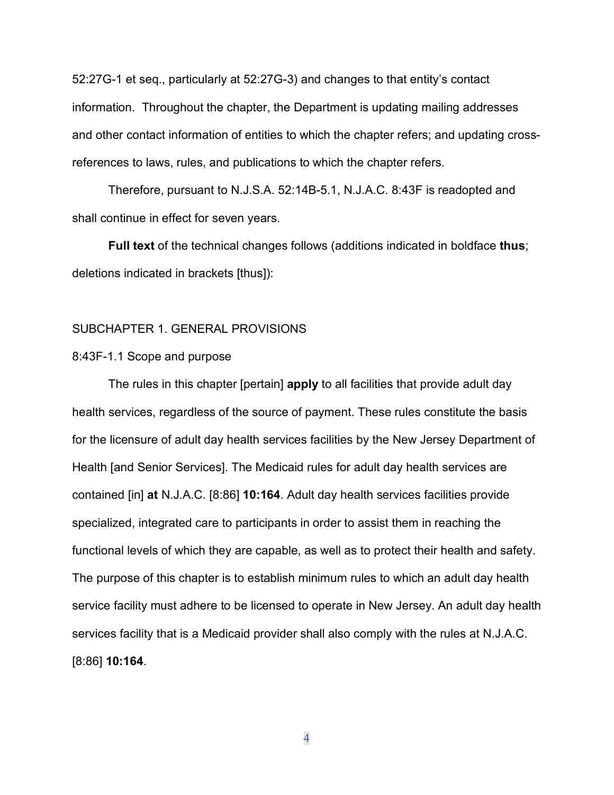[52:27G-1](https://advance.lexis.com/api/document?collection=statutes-legislation&id=urn:contentItem:5F0Y-CF01-6F13-0016-00000-00&context=1000516) et seq., particularly at 52:27G-3) and changes to that entity's contact information. Throughout the chapter, the Department is updating mailing addresses and other contact information of entities to which the chapter refers; and updating crossreferences to laws, rules, and publications to which the chapter refers.

Therefore, pursuant to N.J.S.A. 52:14B-5.1, N.J.A.C. 8:43F is readopted and shall continue in effect for seven years.

**Full text** of the technical changes follows (additions indicated in boldface **thus**; deletions indicated in brackets [thus]):

# SUBCHAPTER 1. GENERAL PROVISIONS

#### 8:43F-1.1 Scope and purpose

The rules in this chapter [pertain] **apply** to all facilities that provide adult day health services, regardless of the source of payment. These rules constitute the basis for the licensure of adult day health services facilities by the New Jersey Department of Health [and Senior Services]. The Medicaid rules for adult day health services are contained [in] **at** N.J.A.C. [8:86] **10:164**. Adult day health services facilities provide specialized, integrated care to participants in order to assist them in reaching the functional levels of which they are capable, as well as to protect their health and safety. The purpose of this chapter is to establish minimum rules to which an adult day health service facility must adhere to be licensed to operate in New Jersey. An adult day health services facility that is a Medicaid provider shall also comply with the rules at N.J.A.C. [8:86] **10:164**.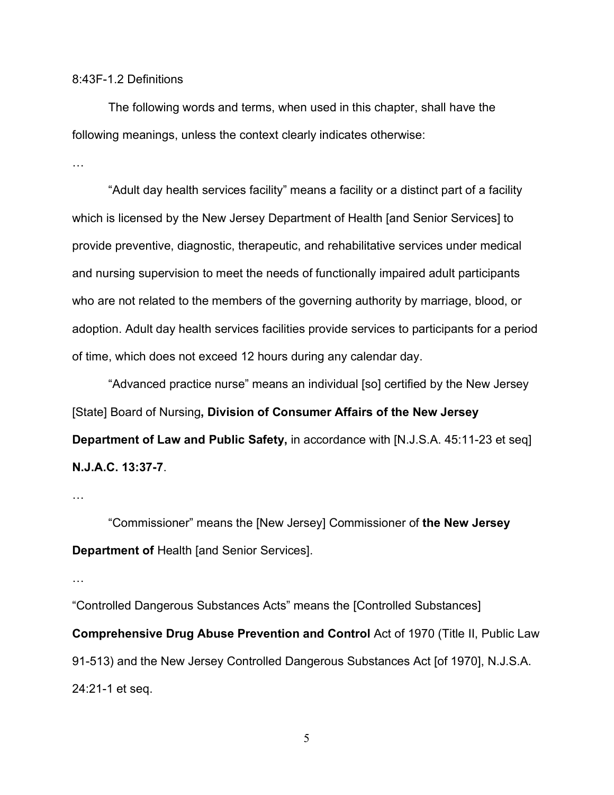### 8:43F-1.2 Definitions

The following words and terms, when used in this chapter, shall have the following meanings, unless the context clearly indicates otherwise:

…

"Adult day health services facility" means a facility or a distinct part of a facility which is licensed by the New Jersey Department of Health [and Senior Services] to provide preventive, diagnostic, therapeutic, and rehabilitative services under medical and nursing supervision to meet the needs of functionally impaired adult participants who are not related to the members of the governing authority by marriage, blood, or adoption. Adult day health services facilities provide services to participants for a period of time, which does not exceed 12 hours during any calendar day.

"Advanced practice nurse" means an individual [so] certified by the New Jersey [State] Board of Nursing**, Division of Consumer Affairs of the New Jersey Department of Law and Public Safety,** in accordance with [N.J.S.A. 45:11-23 et seq] **N.J.A.C. 13:37-7**.

…

"Commissioner" means the [New Jersey] Commissioner of **the New Jersey Department of** Health [and Senior Services].

…

"Controlled Dangerous Substances Acts" means the [Controlled Substances] **Comprehensive Drug Abuse Prevention and Control** Act of 1970 (Title II, Public Law 91-513) and the New Jersey Controlled Dangerous Substances Act [of 1970], N.J.S.A. 24:21-1 et seq.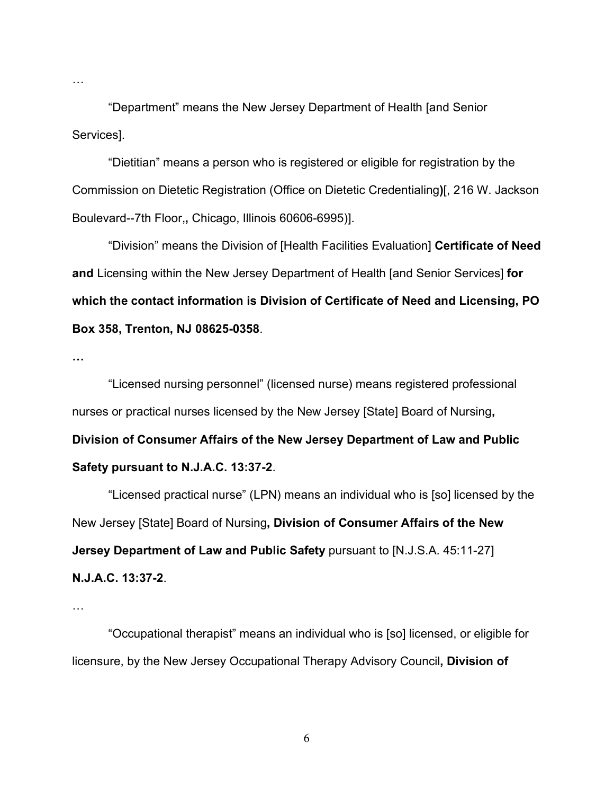"Department" means the New Jersey Department of Health [and Senior Services].

"Dietitian" means a person who is registered or eligible for registration by the Commission on Dietetic Registration (Office on Dietetic Credentialing**)**[, 216 W. Jackson Boulevard--7th Floor,**,** Chicago, Illinois 60606-6995)].

"Division" means the Division of [Health Facilities Evaluation] **Certificate of Need and** Licensing within the New Jersey Department of Health [and Senior Services] **for which the contact information is Division of Certificate of Need and Licensing, PO Box 358, Trenton, NJ 08625-0358**.

**…**

…

"Licensed nursing personnel" (licensed nurse) means registered professional nurses or practical nurses licensed by the New Jersey [State] Board of Nursing**, Division of Consumer Affairs of the New Jersey Department of Law and Public Safety pursuant to N.J.A.C. 13:37-2**.

"Licensed practical nurse" (LPN) means an individual who is [so] licensed by the New Jersey [State] Board of Nursing**, Division of Consumer Affairs of the New Jersey Department of Law and Public Safety** pursuant to [\[N.J.S.A. 45:11-27\]](https://advance.lexis.com/api/document?collection=statutes-legislation&id=urn:contentItem:5F0Y-CB91-6F13-04MS-00000-00&context=) **N.J.A.C. 13:37-2**.

…

"Occupational therapist" means an individual who is [so] licensed, or eligible for licensure, by the New Jersey Occupational Therapy Advisory Council**, Division of**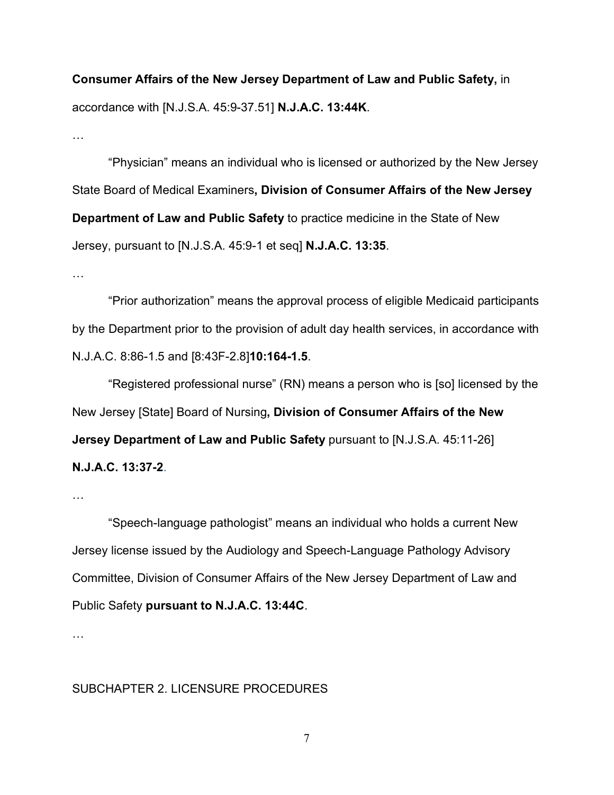**Consumer Affairs of the New Jersey Department of Law and Public Safety,** in accordance with [N.J.S.A. 45:9-37.51] **N.J.A.C. 13:44K**.

…

"Physician" means an individual who is licensed or authorized by the New Jersey State Board of Medical Examiners**, Division of Consumer Affairs of the New Jersey Department of Law and Public Safety** to practice medicine in the State of New Jersey, pursuant to [\[N.J.S.A. 45:9-1](https://advance.lexis.com/api/document?collection=statutes-legislation&id=urn:contentItem:5F0Y-CB91-6F13-0434-00000-00&context=) et seq] **N.J.A.C. 13:35**.

…

"Prior authorization" means the approval process of eligible Medicaid participants by the Department prior to the provision of adult day health services, in accordance with N.J.A.C. 8:86-1.5 and [\[8:43F-2.8\]](https://advance.lexis.com/api/document?collection=administrative-codes&id=urn:contentItem:5XKV-PW21-JS0R-230P-00009-00&context=)**10:164-1.5**.

"Registered professional nurse" (RN) means a person who is [so] licensed by the New Jersey [State] Board of Nursing**, Division of Consumer Affairs of the New Jersey Department of Law and Public Safety pursuant to [N.J.S.A. 45:11-26] N.J.A.C. 13:37-2**.

…

"Speech-language pathologist" means an individual who holds a current New Jersey license issued by the Audiology and Speech-Language Pathology Advisory Committee, Division of Consumer Affairs of the New Jersey Department of Law and Public Safety **pursuant to N.J.A.C. 13:44C**.

…

# SUBCHAPTER 2. LICENSURE PROCEDURES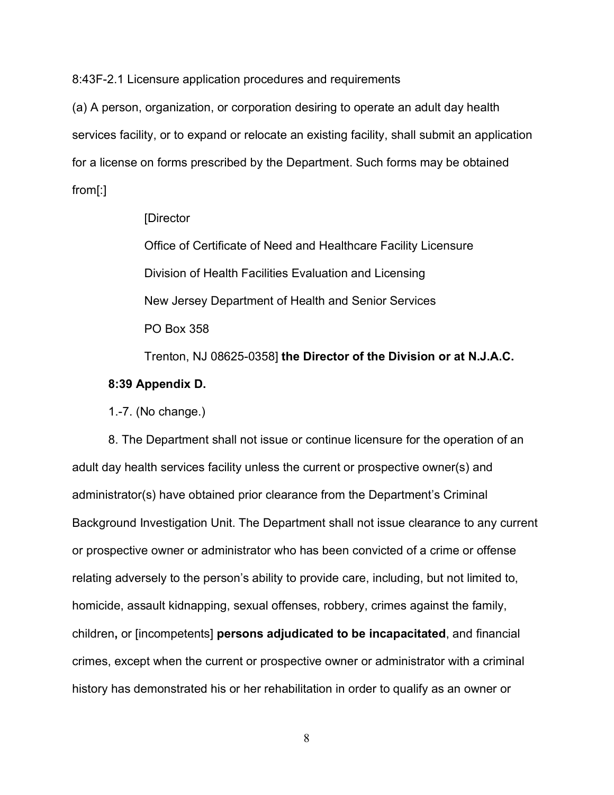8:43F-2.1 Licensure application procedures and requirements

(a) A person, organization, or corporation desiring to operate an adult day health services facility, or to expand or relocate an existing facility, shall submit an application for a license on forms prescribed by the Department. Such forms may be obtained from[:]

#### [Director

Office of Certificate of Need and Healthcare Facility Licensure Division of Health Facilities Evaluation and Licensing New Jersey Department of Health and Senior Services PO Box 358

Trenton, NJ 08625-0358] **the Director of the Division or at N.J.A.C.** 

### **8:39 Appendix D.**

1.-7. (No change.)

8. The Department shall not issue or continue licensure for the operation of an adult day health services facility unless the current or prospective owner(s) and administrator(s) have obtained prior clearance from the Department's Criminal Background Investigation Unit. The Department shall not issue clearance to any current or prospective owner or administrator who has been convicted of a crime or offense relating adversely to the person's ability to provide care, including, but not limited to, homicide, assault kidnapping, sexual offenses, robbery, crimes against the family, children**,** or [incompetents] **persons adjudicated to be incapacitated**, and financial crimes, except when the current or prospective owner or administrator with a criminal history has demonstrated his or her rehabilitation in order to qualify as an owner or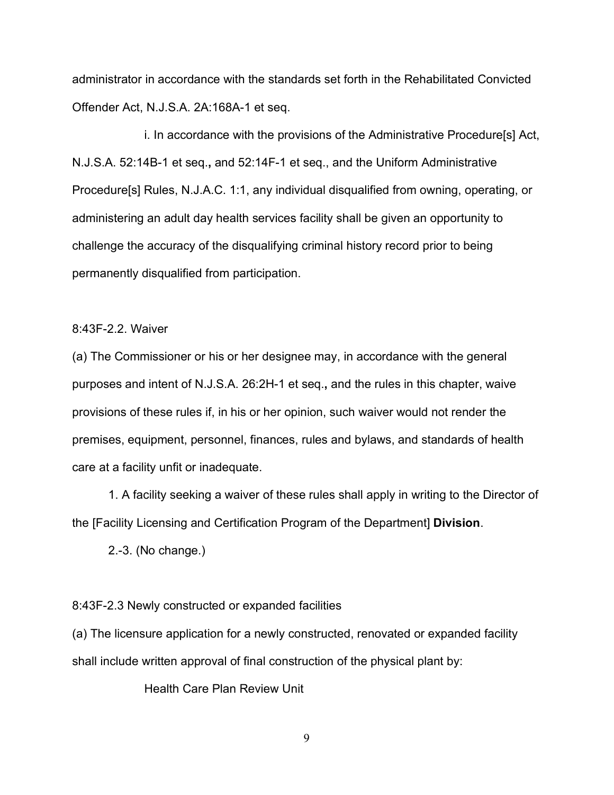administrator in accordance with the standards set forth in the Rehabilitated Convicted Offender Act, N.J.S.A. 2A:168A-1 et seq.

i. In accordance with the provisions of the Administrative Procedure[s] Act, N.J.S.A. 52:14B-1 et seq.**,** and 52:14F-1 et seq., and the Uniform Administrative Procedure[s] Rules, N.J.A.C. 1:1, any individual disqualified from owning, operating, or administering an adult day health services facility shall be given an opportunity to challenge the accuracy of the disqualifying criminal history record prior to being permanently disqualified from participation.

### 8:43F-2.2. Waiver

(a) The Commissioner or his or her designee may, in accordance with the general purposes and intent of [N.J.S.A. 26:2H-1](https://advance.lexis.com/api/document?collection=statutes-legislation&id=urn:contentItem:8R0P-FVV2-D6RV-H2RX-00000-00&context=) et seq.**,** and the rules in this chapter, waive provisions of these rules if, in his or her opinion, such waiver would not render the premises, equipment, personnel, finances, rules and bylaws, and standards of health care at a facility unfit or inadequate.

1. A facility seeking a waiver of these rules shall apply in writing to the Director of the [Facility Licensing and Certification Program of the Department] **Division**.

2.-3. (No change.)

### 8:43F-2.3 Newly constructed or expanded facilities

(a) The licensure application for a newly constructed, renovated or expanded facility shall include written approval of final construction of the physical plant by:

Health Care Plan Review Unit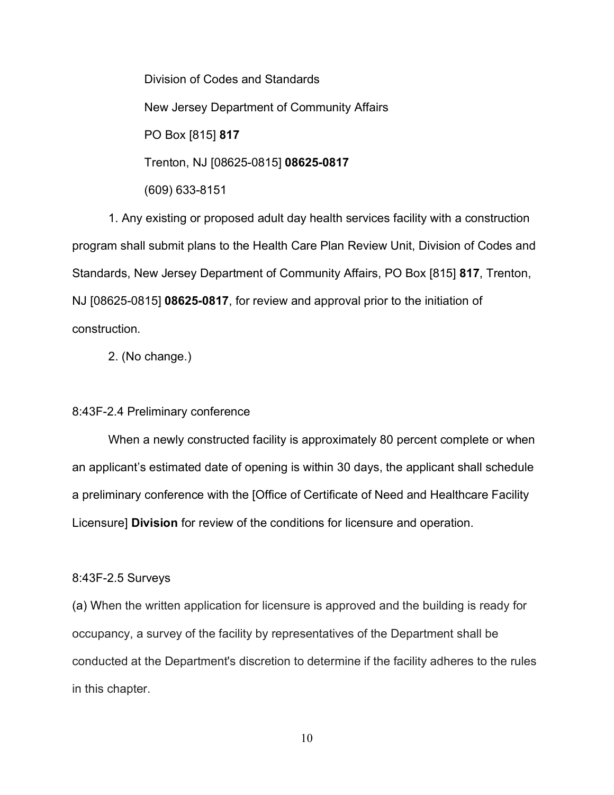Division of Codes and Standards New Jersey Department of Community Affairs PO Box [815] **817** Trenton, NJ [08625-0815] **08625-0817** (609) 633-8151

1. Any existing or proposed adult day health services facility with a construction program shall submit plans to the Health Care Plan Review Unit, Division of Codes and Standards, New Jersey Department of Community Affairs, PO Box [815] **817**, Trenton, NJ [08625-0815] **08625-0817**, for review and approval prior to the initiation of construction.

2. (No change.)

### 8:43F-2.4 Preliminary conference

When a newly constructed facility is approximately 80 percent complete or when an applicant's estimated date of opening is within 30 days, the applicant shall schedule a preliminary conference with the [Office of Certificate of Need and Healthcare Facility Licensure] **Division** for review of the conditions for licensure and operation.

#### 8:43F-2.5 Surveys

(a) When the written application for licensure is approved and the building is ready for occupancy, a survey of the facility by representatives of the Department shall be conducted at the Department's discretion to determine if the facility adheres to the rules in this chapter.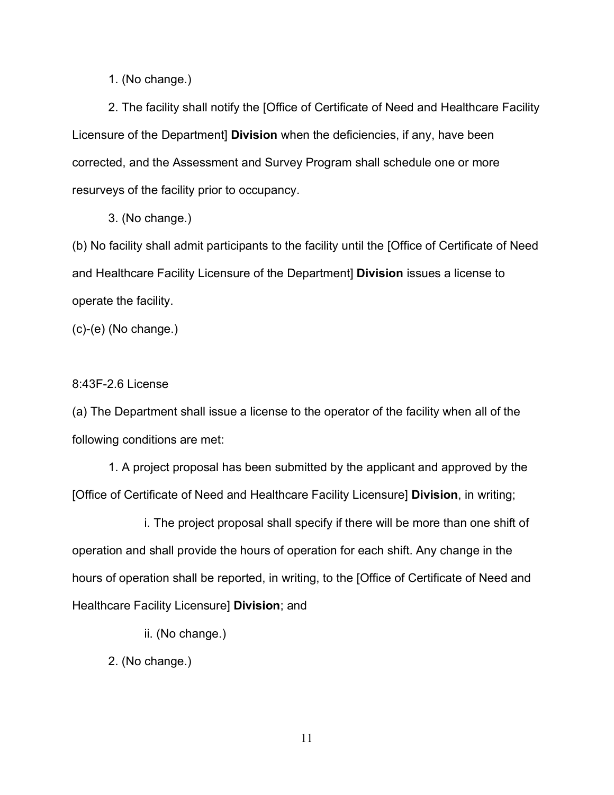1. (No change.)

2. The facility shall notify the [Office of Certificate of Need and Healthcare Facility Licensure of the Department] **Division** when the deficiencies, if any, have been corrected, and the Assessment and Survey Program shall schedule one or more resurveys of the facility prior to occupancy.

3. (No change.)

(b) No facility shall admit participants to the facility until the [Office of Certificate of Need and Healthcare Facility Licensure of the Department] **Division** issues a license to operate the facility.

(c)-(e) (No change.)

## 8:43F-2.6 License

(a) The Department shall issue a license to the operator of the facility when all of the following conditions are met:

1. A project proposal has been submitted by the applicant and approved by the [Office of Certificate of Need and Healthcare Facility Licensure] **Division**, in writing;

i. The project proposal shall specify if there will be more than one shift of operation and shall provide the hours of operation for each shift. Any change in the hours of operation shall be reported, in writing, to the [Office of Certificate of Need and Healthcare Facility Licensure] **Division**; and

ii. (No change.)

2. (No change.)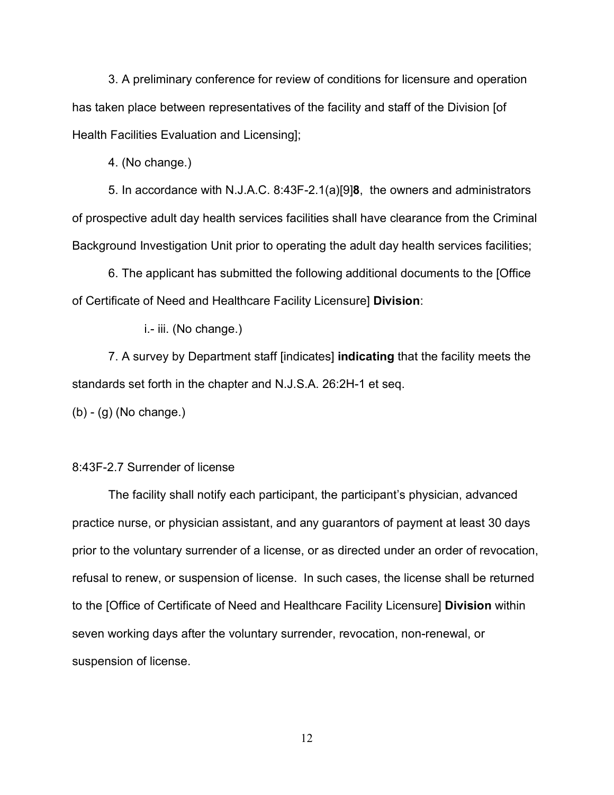3. A preliminary conference for review of conditions for licensure and operation has taken place between representatives of the facility and staff of the Division [of Health Facilities Evaluation and Licensing];

4. (No change.)

5. In accordance with N.J.A.C. 8:43F-2.1(a)[9]**8**, the owners and administrators of prospective adult day health services facilities shall have clearance from the Criminal Background Investigation Unit prior to operating the adult day health services facilities;

6. The applicant has submitted the following additional documents to the [Office of Certificate of Need and Healthcare Facility Licensure] **Division**:

i.- iii. (No change.)

7. A survey by Department staff [indicates] **indicating** that the facility meets the standards set forth in the chapter and [N.J.S.A. 26:2H-1](https://advance.lexis.com/api/document?collection=statutes-legislation&id=urn:contentItem:8R0P-FVV2-D6RV-H2RX-00000-00&context=) et seq.

(b) - (g) (No change.)

#### 8:43F-2.7 Surrender of license

The facility shall notify each participant, the participant's physician, advanced practice nurse, or physician assistant, and any guarantors of payment at least 30 days prior to the voluntary surrender of a license, or as directed under an order of revocation, refusal to renew, or suspension of license. In such cases, the license shall be returned to the [Office of Certificate of Need and Healthcare Facility Licensure] **Division** within seven working days after the voluntary surrender, revocation, non-renewal, or suspension of license.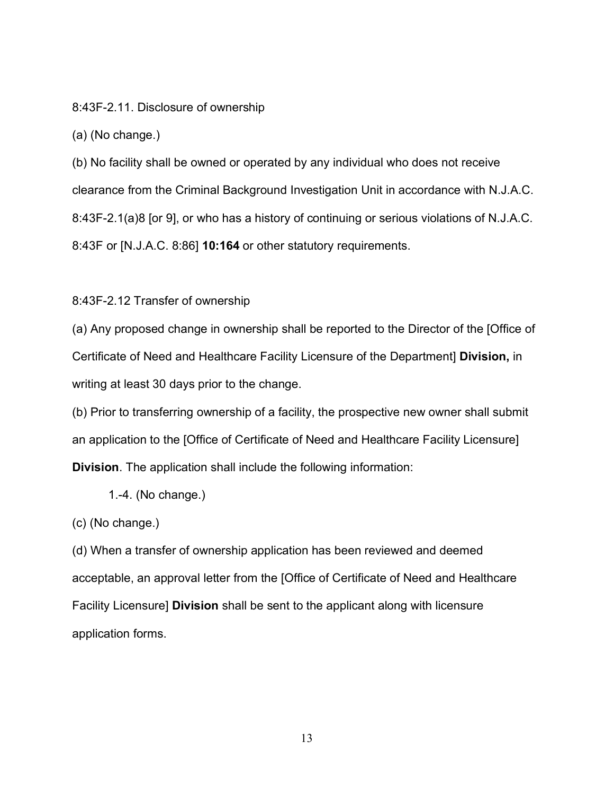8:43F-2.11. Disclosure of ownership

(a) (No change.)

(b) No facility shall be owned or operated by any individual who does not receive clearance from the Criminal Background Investigation Unit in accordance with [N.J.A.C.](https://advance.lexis.com/api/document?collection=administrative-codes&id=urn:contentItem:5XKV-PW61-F65M-6061-00009-00&context=)  [8:43F-2.1\(a\)8](https://advance.lexis.com/api/document?collection=administrative-codes&id=urn:contentItem:5XKV-PW61-F65M-6061-00009-00&context=) [or 9], or who has a history of continuing or serious violations of [N.J.A.C.](https://advance.lexis.com/api/document?collection=administrative-codes&id=urn:contentItem:5XKV-PWC1-JWR6-S51R-00009-00&context=)  [8:43F](https://advance.lexis.com/api/document?collection=administrative-codes&id=urn:contentItem:5XKV-PWC1-JWR6-S51R-00009-00&context=) or [\[N.J.A.C. 8:86\]](https://advance.lexis.com/api/document?collection=administrative-codes&id=urn:contentItem:5XKV-PW31-JBDT-B4YK-00009-00&context=) **10:164** or other statutory requirements.

8:43F-2.12 Transfer of ownership

(a) Any proposed change in ownership shall be reported to the Director of the [Office of Certificate of Need and Healthcare Facility Licensure of the Department] **Division,** in writing at least 30 days prior to the change.

(b) Prior to transferring ownership of a facility, the prospective new owner shall submit an application to the [Office of Certificate of Need and Healthcare Facility Licensure] **Division**. The application shall include the following information:

1.-4. (No change.)

(c) (No change.)

(d) When a transfer of ownership application has been reviewed and deemed acceptable, an approval letter from the [Office of Certificate of Need and Healthcare Facility Licensure] **Division** shall be sent to the applicant along with licensure application forms.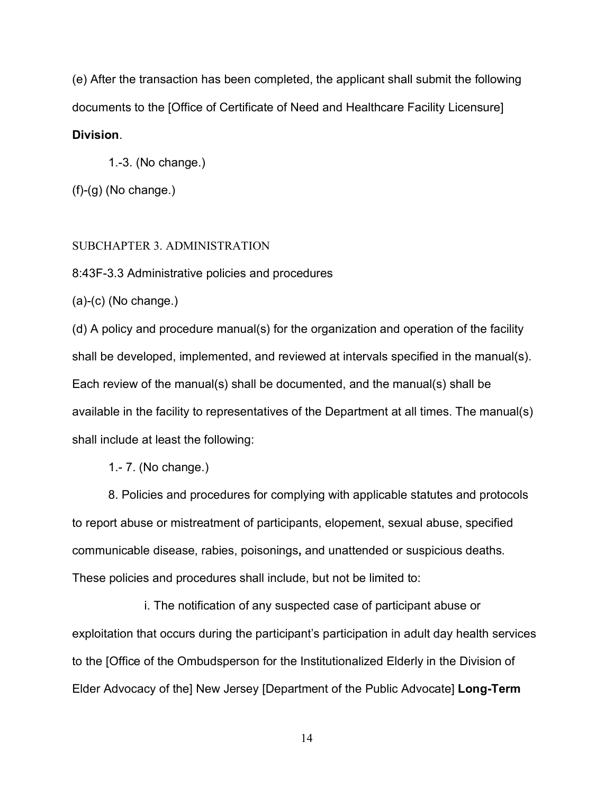(e) After the transaction has been completed, the applicant shall submit the following documents to the [Office of Certificate of Need and Healthcare Facility Licensure] **Division**.

1.-3. (No change.)

 $(f)-(g)$  (No change.)

## SUBCHAPTER 3. ADMINISTRATION

8:43F-3.3 Administrative policies and procedures

(a)-(c) (No change.)

(d) A policy and procedure manual(s) for the organization and operation of the facility shall be developed, implemented, and reviewed at intervals specified in the manual(s). Each review of the manual(s) shall be documented, and the manual(s) shall be available in the facility to representatives of the Department at all times. The manual(s) shall include at least the following:

1.- 7. (No change.)

8. Policies and procedures for complying with applicable statutes and protocols to report abuse or mistreatment of participants, elopement, sexual abuse, specified communicable disease, rabies, poisonings**,** and unattended or suspicious deaths. These policies and procedures shall include, but not be limited to:

i. The notification of any suspected case of participant abuse or exploitation that occurs during the participant's participation in adult day health services to the [Office of the Ombudsperson for the Institutionalized Elderly in the Division of Elder Advocacy of the] New Jersey [Department of the Public Advocate] **Long-Term**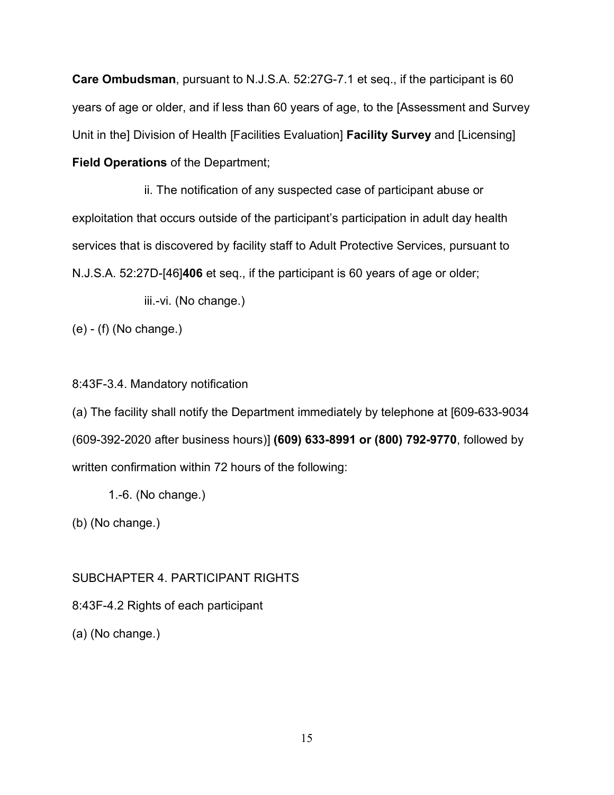**Care Ombudsman**, pursuant to [N.J.S.A. 52:27G-7.1](https://advance.lexis.com/api/document?collection=statutes-legislation&id=urn:contentItem:8NV2-MGJ2-D6RV-H55H-00000-00&context=) et seq., if the participant is 60 years of age or older, and if less than 60 years of age, to the [Assessment and Survey Unit in the] Division of Health [Facilities Evaluation] **Facility Survey** and [Licensing] **Field Operations** of the Department;

ii. The notification of any suspected case of participant abuse or exploitation that occurs outside of the participant's participation in adult day health services that is discovered by facility staff to Adult Protective Services, pursuant to N.J.S.A. 52:27D-[46]**406** et seq., if the participant is 60 years of age or older;

iii.-vi. (No change.)

(e) - (f) (No change.)

# 8:43F-3.4. Mandatory notification

(a) The facility shall notify the Department immediately by telephone at [609-633-9034 (609-392-2020 after business hours)] **(609) 633-8991 or (800) 792-9770**, followed by written confirmation within 72 hours of the following:

1.-6. (No change.)

(b) (No change.)

# SUBCHAPTER 4. PARTICIPANT RIGHTS

8:43F-4.2 Rights of each participant

(a) (No change.)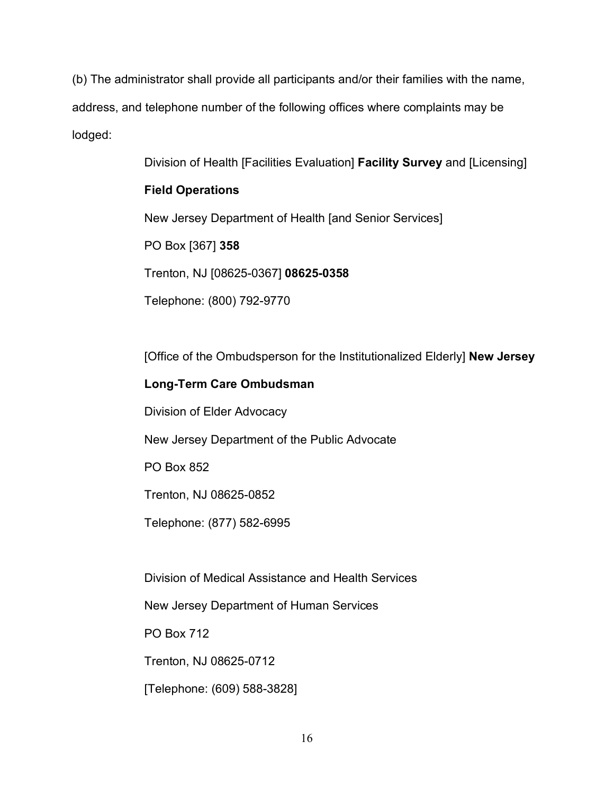(b) The administrator shall provide all participants and/or their families with the name, address, and telephone number of the following offices where complaints may be lodged:

Division of Health [Facilities Evaluation] **Facility Survey** and [Licensing]

# **Field Operations**

New Jersey Department of Health [and Senior Services]

PO Box [367] **358**

Trenton, NJ [08625-0367] **08625-0358**

Telephone: (800) 792-9770

[Office of the Ombudsperson for the Institutionalized Elderly] **New Jersey** 

# **Long-Term Care Ombudsman**

Division of Elder Advocacy

New Jersey Department of the Public Advocate

PO Box 852

Trenton, NJ 08625-0852

Telephone: (877) 582-6995

Division of Medical Assistance and Health Services

New Jersey Department of Human Services

PO Box 712

Trenton, NJ 08625-0712

[Telephone: (609) 588-3828]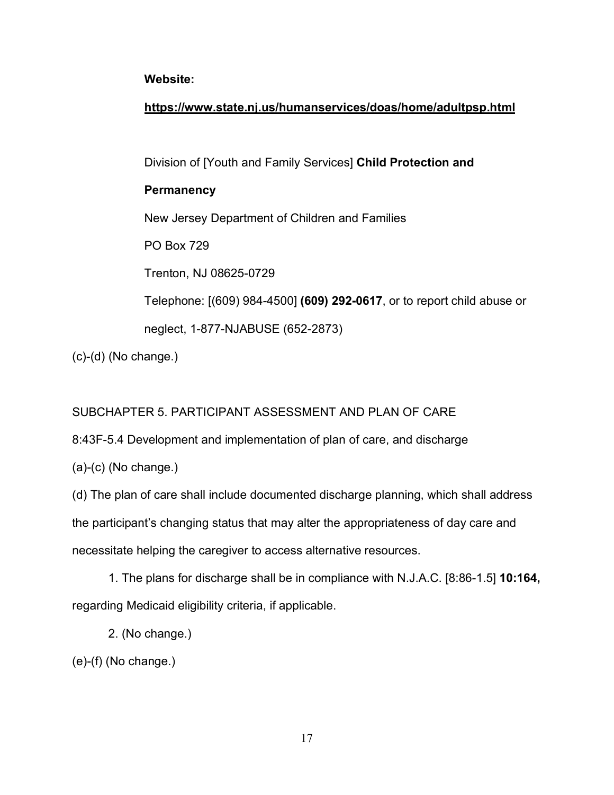# **Website:**

# **https://www.state.nj.us/humanservices/doas/home/adultpsp.html**

Division of [Youth and Family Services] **Child Protection and** 

# **Permanency**

New Jersey Department of Children and Families

PO Box 729

Trenton, NJ 08625-0729

Telephone: [(609) 984-4500] **(609) 292-0617**, or to report child abuse or

neglect, 1-877-NJABUSE (652-2873)

(c)-(d) (No change.)

# SUBCHAPTER 5. PARTICIPANT ASSESSMENT AND PLAN OF CARE

8:43F-5.4 Development and implementation of plan of care, and discharge

(a)-(c) (No change.)

(d) The plan of care shall include documented discharge planning, which shall address the participant's changing status that may alter the appropriateness of day care and necessitate helping the caregiver to access alternative resources.

1. The plans for discharge shall be in compliance with N.J.A.C. [8:86-1.5] **10:164,** regarding Medicaid eligibility criteria, if applicable.

2. (No change.)

(e)-(f) (No change.)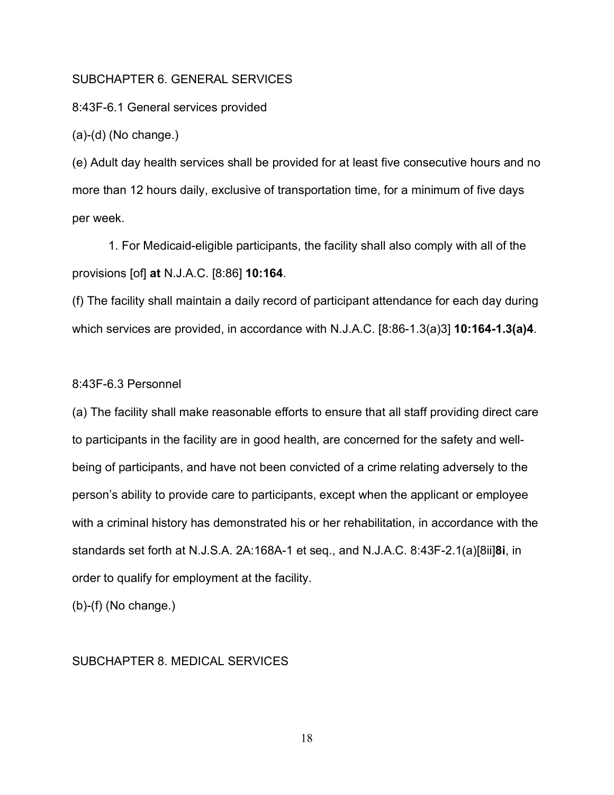### SUBCHAPTER 6. GENERAL SERVICES

8:43F-6.1 General services provided

(a)-(d) (No change.)

(e) Adult day health services shall be provided for at least five consecutive hours and no more than 12 hours daily, exclusive of transportation time, for a minimum of five days per week.

1. For Medicaid-eligible participants, the facility shall also comply with all of the provisions [of] **at** N.J.A.C. [8:86] **10:164**.

(f) The facility shall maintain a daily record of participant attendance for each day during which services are provided, in accordance with N.J.A.C. [8:86-1.3(a)3] **10:164-1.3(a)4**.

#### 8:43F-6.3 Personnel

(a) The facility shall make reasonable efforts to ensure that all staff providing direct care to participants in the facility are in good health, are concerned for the safety and wellbeing of participants, and have not been convicted of a crime relating adversely to the person's ability to provide care to participants, except when the applicant or employee with a criminal history has demonstrated his or her rehabilitation, in accordance with the standards set forth at [N.J.S.A. 2A:168A-1](https://advance.lexis.com/api/document?collection=statutes-legislation&id=urn:contentItem:5F0Y-BKN1-6F13-04P8-00000-00&context=) et seq., and N.J.A.C. 8:43F-2.1(a)[8ii]**8i**, in order to qualify for employment at the facility.

(b)-(f) (No change.)

### SUBCHAPTER 8. MEDICAL SERVICES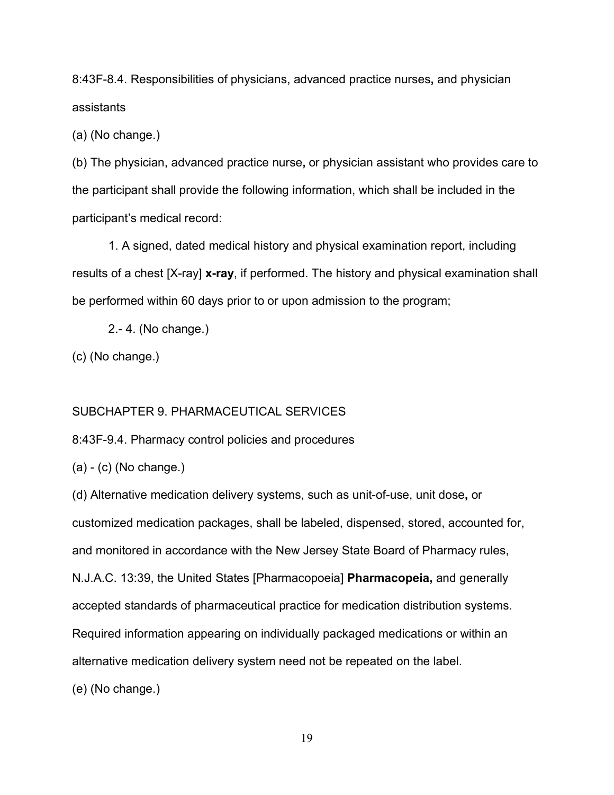8:43F-8.4. Responsibilities of physicians, advanced practice nurses**,** and physician assistants

(a) (No change.)

(b) The physician, advanced practice nurse**,** or physician assistant who provides care to the participant shall provide the following information, which shall be included in the participant's medical record:

1. A signed, dated medical history and physical examination report, including results of a chest [X-ray] **x-ray**, if performed. The history and physical examination shall be performed within 60 days prior to or upon admission to the program;

2.- 4. (No change.)

(c) (No change.)

### SUBCHAPTER 9. PHARMACEUTICAL SERVICES

8:43F-9.4. Pharmacy control policies and procedures

(a) - (c) (No change.)

(d) Alternative medication delivery systems, such as unit-of-use, unit dose**,** or customized medication packages, shall be labeled, dispensed, stored, accounted for, and monitored in accordance with the New Jersey State Board of Pharmacy rules, [N.J.A.C. 13:39,](https://advance.lexis.com/api/document?collection=administrative-codes&id=urn:contentItem:5XKV-PWC1-JWR6-S4YJ-00009-00&context=) the United States [Pharmacopoeia] **Pharmacopeia,** and generally accepted standards of pharmaceutical practice for medication distribution systems. Required information appearing on individually packaged medications or within an alternative medication delivery system need not be repeated on the label. (e) (No change.)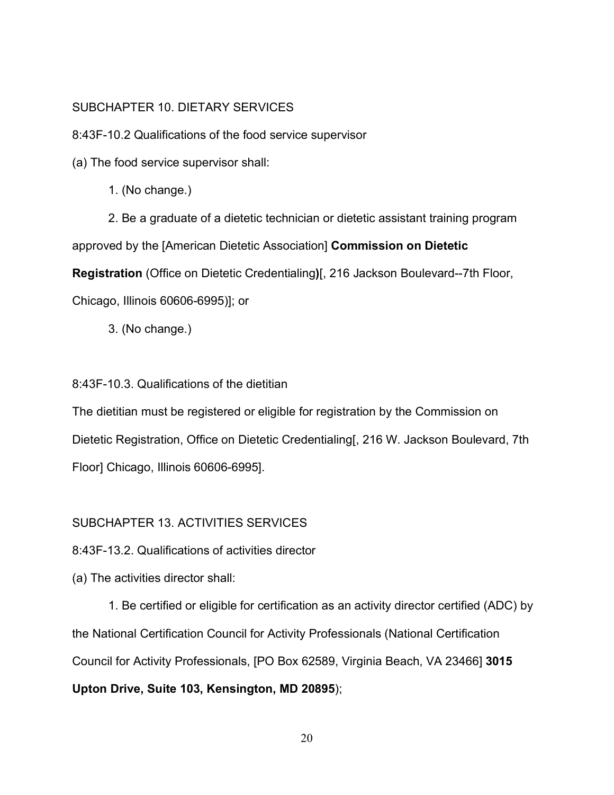# SUBCHAPTER 10. DIETARY SERVICES

8:43F-10.2 Qualifications of the food service supervisor

(a) The food service supervisor shall:

1. (No change.)

2. Be a graduate of a dietetic technician or dietetic assistant training program approved by the [American Dietetic Association] **Commission on Dietetic Registration** (Office on Dietetic Credentialing**)**[, 216 Jackson Boulevard--7th Floor, Chicago, Illinois 60606-6995)]; or

3. (No change.)

# 8:43F-10.3. Qualifications of the dietitian

The dietitian must be registered or eligible for registration by the Commission on Dietetic Registration, Office on Dietetic Credentialing[, 216 W. Jackson Boulevard, 7th Floor] Chicago, Illinois 60606-6995].

# SUBCHAPTER 13. ACTIVITIES SERVICES

8:43F-13.2. Qualifications of activities director

(a) The activities director shall:

1. Be certified or eligible for certification as an activity director certified (ADC) by the National Certification Council for Activity Professionals (National Certification Council for Activity Professionals, [PO Box 62589, Virginia Beach, VA 23466] **3015 Upton Drive, Suite 103, Kensington, MD 20895**);